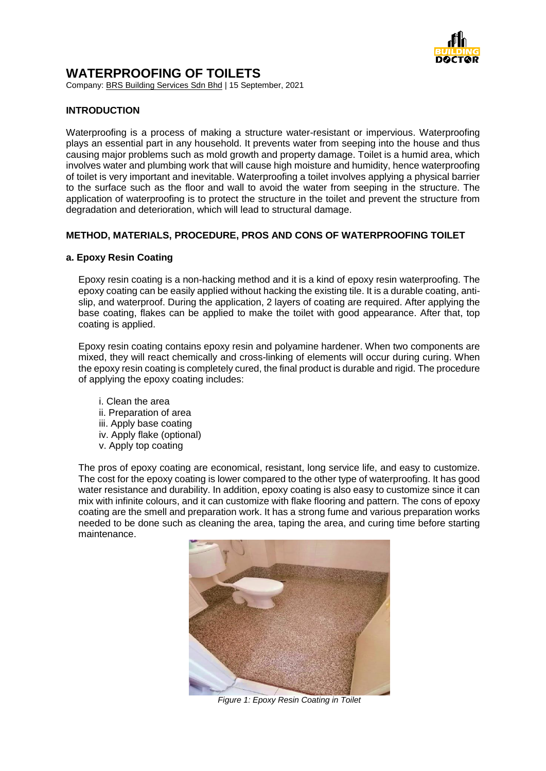

# **WATERPROOFING OF TOILETS**

Company: BRS Building Services Sdn Bhd | 15 September, 2021

## **INTRODUCTION**

Waterproofing is a process of making a structure water-resistant or impervious. Waterproofing plays an essential part in any household. It prevents water from seeping into the house and thus causing major problems such as mold growth and property damage. Toilet is a humid area, which involves water and plumbing work that will cause high moisture and humidity, hence waterproofing of toilet is very important and inevitable. Waterproofing a toilet involves applying a physical barrier to the surface such as the floor and wall to avoid the water from seeping in the structure. The application of waterproofing is to protect the structure in the toilet and prevent the structure from degradation and deterioration, which will lead to structural damage.

## **METHOD, MATERIALS, PROCEDURE, PROS AND CONS OF WATERPROOFING TOILET**

### **a. Epoxy Resin Coating**

Epoxy resin coating is a non-hacking method and it is a kind of epoxy resin waterproofing. The epoxy coating can be easily applied without hacking the existing tile. It is a durable coating, antislip, and waterproof. During the application, 2 layers of coating are required. After applying the base coating, flakes can be applied to make the toilet with good appearance. After that, top coating is applied.

Epoxy resin coating contains epoxy resin and polyamine hardener. When two components are mixed, they will react chemically and cross-linking of elements will occur during curing. When the epoxy resin coating is completely cured, the final product is durable and rigid. The procedure of applying the epoxy coating includes:

i. Clean the area ii. Preparation of area iii. Apply base coating iv. Apply flake (optional) v. Apply top coating

The pros of epoxy coating are economical, resistant, long service life, and easy to customize. The cost for the epoxy coating is lower compared to the other type of waterproofing. It has good water resistance and durability. In addition, epoxy coating is also easy to customize since it can mix with infinite colours, and it can customize with flake flooring and pattern. The cons of epoxy coating are the smell and preparation work. It has a strong fume and various preparation works needed to be done such as cleaning the area, taping the area, and curing time before starting maintenance.



*Figure 1: Epoxy Resin Coating in Toilet*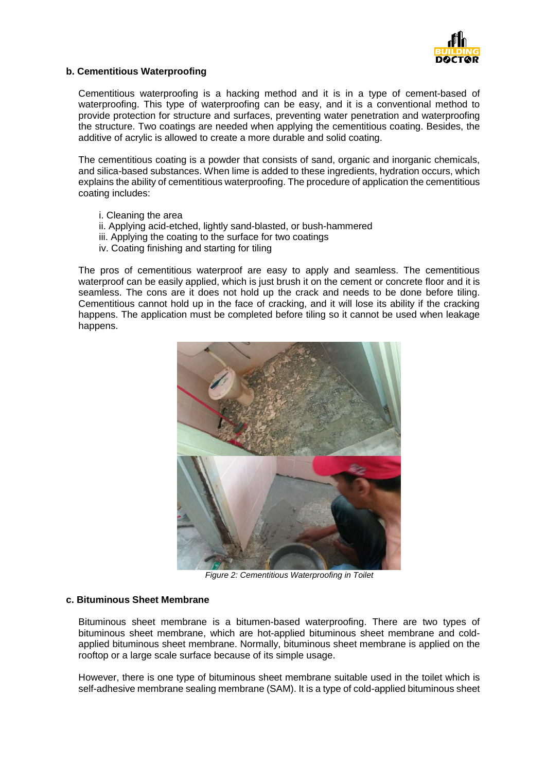

### **b. Cementitious Waterproofing**

Cementitious waterproofing is a hacking method and it is in a type of cement-based of waterproofing. This type of waterproofing can be easy, and it is a conventional method to provide protection for structure and surfaces, preventing water penetration and waterproofing the structure. Two coatings are needed when applying the cementitious coating. Besides, the additive of acrylic is allowed to create a more durable and solid coating.

The cementitious coating is a powder that consists of sand, organic and inorganic chemicals, and silica-based substances. When lime is added to these ingredients, hydration occurs, which explains the ability of cementitious waterproofing. The procedure of application the cementitious coating includes:

- i. Cleaning the area
- ii. Applying acid-etched, lightly sand-blasted, or bush-hammered
- iii. Applying the coating to the surface for two coatings
- iv. Coating finishing and starting for tiling

The pros of cementitious waterproof are easy to apply and seamless. The cementitious waterproof can be easily applied, which is just brush it on the cement or concrete floor and it is seamless. The cons are it does not hold up the crack and needs to be done before tiling. Cementitious cannot hold up in the face of cracking, and it will lose its ability if the cracking happens. The application must be completed before tiling so it cannot be used when leakage happens.



*Figure 2: Cementitious Waterproofing in Toilet*

#### **c. Bituminous Sheet Membrane**

Bituminous sheet membrane is a bitumen-based waterproofing. There are two types of bituminous sheet membrane, which are hot-applied bituminous sheet membrane and coldapplied bituminous sheet membrane. Normally, bituminous sheet membrane is applied on the rooftop or a large scale surface because of its simple usage.

However, there is one type of bituminous sheet membrane suitable used in the toilet which is self-adhesive membrane sealing membrane (SAM). It is a type of cold-applied bituminous sheet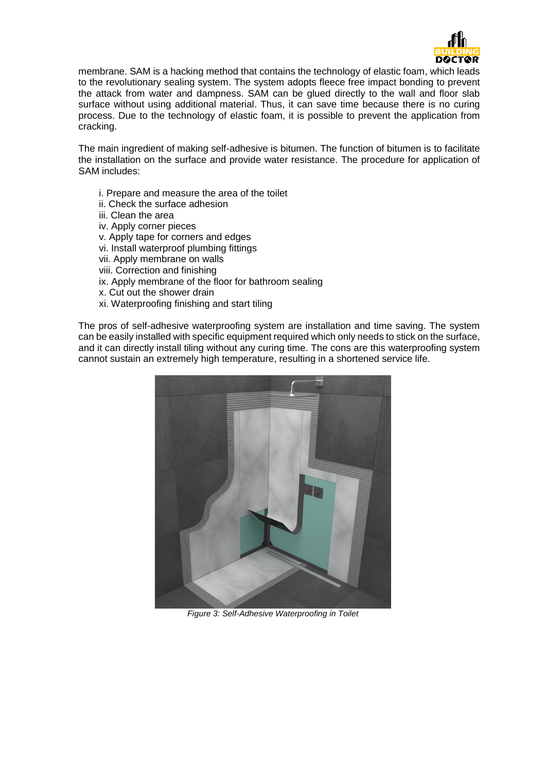

membrane. SAM is a hacking method that contains the technology of elastic foam, which leads to the revolutionary sealing system. The system adopts fleece free impact bonding to prevent the attack from water and dampness. SAM can be glued directly to the wall and floor slab surface without using additional material. Thus, it can save time because there is no curing process. Due to the technology of elastic foam, it is possible to prevent the application from cracking.

The main ingredient of making self-adhesive is bitumen. The function of bitumen is to facilitate the installation on the surface and provide water resistance. The procedure for application of SAM includes:

- i. Prepare and measure the area of the toilet
- ii. Check the surface adhesion
- iii. Clean the area
- iv. Apply corner pieces
- v. Apply tape for corners and edges
- vi. Install waterproof plumbing fittings
- vii. Apply membrane on walls
- viii. Correction and finishing
- ix. Apply membrane of the floor for bathroom sealing
- x. Cut out the shower drain
- xi. Waterproofing finishing and start tiling

The pros of self-adhesive waterproofing system are installation and time saving. The system can be easily installed with specific equipment required which only needs to stick on the surface, and it can directly install tiling without any curing time. The cons are this waterproofing system cannot sustain an extremely high temperature, resulting in a shortened service life.



*Figure 3: Self-Adhesive Waterproofing in Toilet*